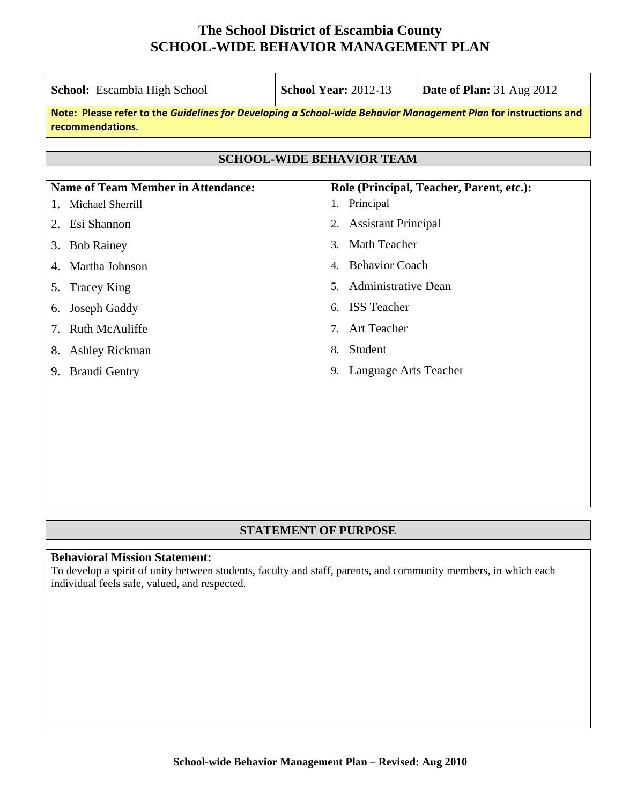| <b>School:</b> Escambia High School                                                                                                 | <b>School Year: 2012-13</b>                            | <b>Date of Plan:</b> 31 Aug 2012 |  |  |  |
|-------------------------------------------------------------------------------------------------------------------------------------|--------------------------------------------------------|----------------------------------|--|--|--|
| Note: Please refer to the Guidelines for Developing a School-wide Behavior Management Plan for instructions and<br>recommendations. |                                                        |                                  |  |  |  |
| <b>SCHOOL-WIDE BEHAVIOR TEAM</b>                                                                                                    |                                                        |                                  |  |  |  |
| <b>Name of Team Member in Attendance:</b><br>Role (Principal, Teacher, Parent, etc.):                                               |                                                        |                                  |  |  |  |
| Michael Sherrill<br>1.                                                                                                              | Principal<br>1.                                        |                                  |  |  |  |
| Esi Shannon<br>2.                                                                                                                   | <b>Assistant Principal</b><br>2.                       |                                  |  |  |  |
| <b>Bob Rainey</b><br>3.                                                                                                             | Math Teacher<br>3.                                     |                                  |  |  |  |
| Martha Johnson<br>4.                                                                                                                | <b>Behavior Coach</b><br>4.                            |                                  |  |  |  |
| <b>Tracey King</b><br>5.                                                                                                            | <b>Administrative Dean</b><br>5.                       |                                  |  |  |  |
| Joseph Gaddy<br>6.                                                                                                                  | <b>ISS</b> Teacher<br>6.                               |                                  |  |  |  |
| <b>Ruth McAuliffe</b><br>7.                                                                                                         | <b>Art Teacher</b><br>$7_{\scriptscriptstyle{\ddots}}$ |                                  |  |  |  |
| <b>Ashley Rickman</b><br>8.                                                                                                         | Student<br>8.                                          |                                  |  |  |  |
| <b>Brandi Gentry</b><br>9.                                                                                                          | Language Arts Teacher<br>9.                            |                                  |  |  |  |
|                                                                                                                                     |                                                        |                                  |  |  |  |
|                                                                                                                                     |                                                        |                                  |  |  |  |
|                                                                                                                                     |                                                        |                                  |  |  |  |

### **STATEMENT OF PURPOSE**

#### **Behavioral Mission Statement:**

To develop a spirit of unity between students, faculty and staff, parents, and community members, in which each individual feels safe, valued, and respected.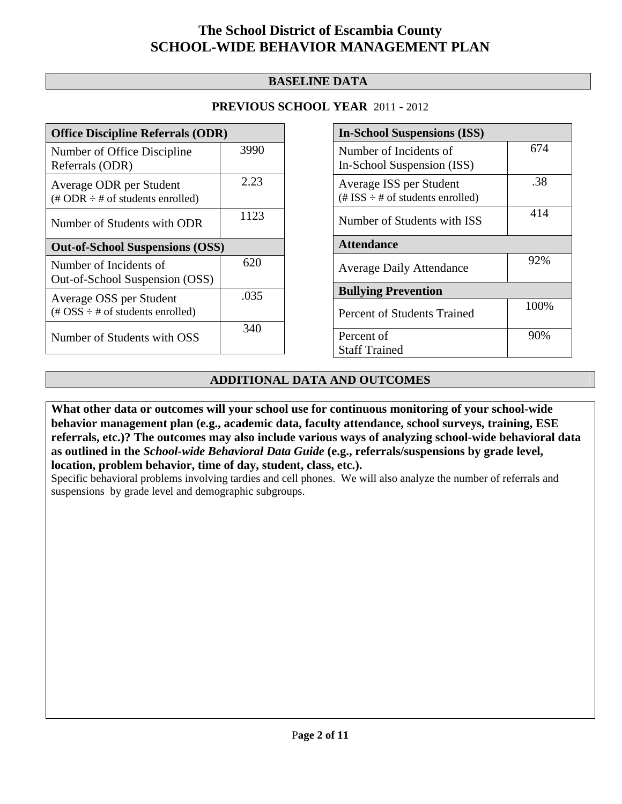## **BASELINE DATA**

## **PREVIOUS SCHOOL YEAR** 2011 - 2012

| <b>Office Discipline Referrals (ODR)</b>                                                        |      |  |
|-------------------------------------------------------------------------------------------------|------|--|
| Number of Office Discipline<br>Referrals (ODR)                                                  | 3990 |  |
| Average ODR per Student<br>$(\text{\# ODR} \div \text{\# of students enrolled})$                | 2.23 |  |
| Number of Students with ODR                                                                     | 1123 |  |
| <b>Out-of-School Suspensions (OSS)</b>                                                          |      |  |
|                                                                                                 |      |  |
| Number of Incidents of<br>Out-of-School Suspension (OSS)                                        | 620  |  |
| Average OSS per Student<br>$(\text{\#} \text{OSS} \div \text{\#} \text{ of students enrolled})$ | .035 |  |

| <b>In-School Suspensions (ISS)</b>                                 |      |  |
|--------------------------------------------------------------------|------|--|
| Number of Incidents of<br>In-School Suspension (ISS)               | 674  |  |
| Average ISS per Student<br>$(\# ISS \div \# of students enrolled)$ | .38  |  |
| Number of Students with ISS                                        | 414  |  |
| <b>Attendance</b>                                                  |      |  |
| <b>Average Daily Attendance</b>                                    | 92%  |  |
| <b>Bullying Prevention</b>                                         |      |  |
| <b>Percent of Students Trained</b>                                 | 100% |  |
| Percent of                                                         | 90%  |  |
| <b>Staff Trained</b>                                               |      |  |

## **ADDITIONAL DATA AND OUTCOMES**

**What other data or outcomes will your school use for continuous monitoring of your school-wide behavior management plan (e.g., academic data, faculty attendance, school surveys, training, ESE referrals, etc.)? The outcomes may also include various ways of analyzing school-wide behavioral data as outlined in the** *School-wide Behavioral Data Guide* **(e.g., referrals/suspensions by grade level, location, problem behavior, time of day, student, class, etc.).**

Specific behavioral problems involving tardies and cell phones. We will also analyze the number of referrals and suspensions by grade level and demographic subgroups.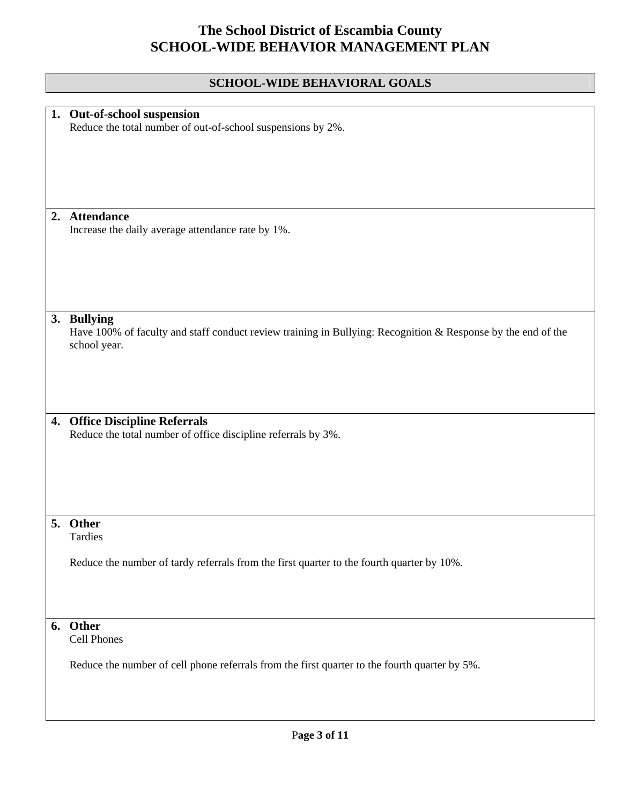## **SCHOOL-WIDE BEHAVIORAL GOALS**

|    | 1. Out-of-school suspension                                                                                  |
|----|--------------------------------------------------------------------------------------------------------------|
|    | Reduce the total number of out-of-school suspensions by 2%.                                                  |
|    |                                                                                                              |
|    |                                                                                                              |
|    |                                                                                                              |
|    |                                                                                                              |
|    |                                                                                                              |
|    |                                                                                                              |
| 2. | <b>Attendance</b>                                                                                            |
|    | Increase the daily average attendance rate by 1%.                                                            |
|    |                                                                                                              |
|    |                                                                                                              |
|    |                                                                                                              |
|    |                                                                                                              |
|    |                                                                                                              |
|    |                                                                                                              |
|    | 3. Bullying                                                                                                  |
|    | Have 100% of faculty and staff conduct review training in Bullying: Recognition & Response by the end of the |
|    | school year.                                                                                                 |
|    |                                                                                                              |
|    |                                                                                                              |
|    |                                                                                                              |
|    |                                                                                                              |
|    |                                                                                                              |
| 4. | <b>Office Discipline Referrals</b>                                                                           |
|    | Reduce the total number of office discipline referrals by 3%.                                                |
|    |                                                                                                              |
|    |                                                                                                              |
|    |                                                                                                              |
|    |                                                                                                              |
|    |                                                                                                              |
|    |                                                                                                              |
|    | 5. Other                                                                                                     |
|    | Tardies                                                                                                      |
|    |                                                                                                              |
|    | Reduce the number of tardy referrals from the first quarter to the fourth quarter by 10%.                    |
|    |                                                                                                              |
|    |                                                                                                              |
|    |                                                                                                              |
|    |                                                                                                              |
|    | 6. Other                                                                                                     |
|    | <b>Cell Phones</b>                                                                                           |
|    |                                                                                                              |
|    | Reduce the number of cell phone referrals from the first quarter to the fourth quarter by 5%.                |
|    |                                                                                                              |
|    |                                                                                                              |
|    |                                                                                                              |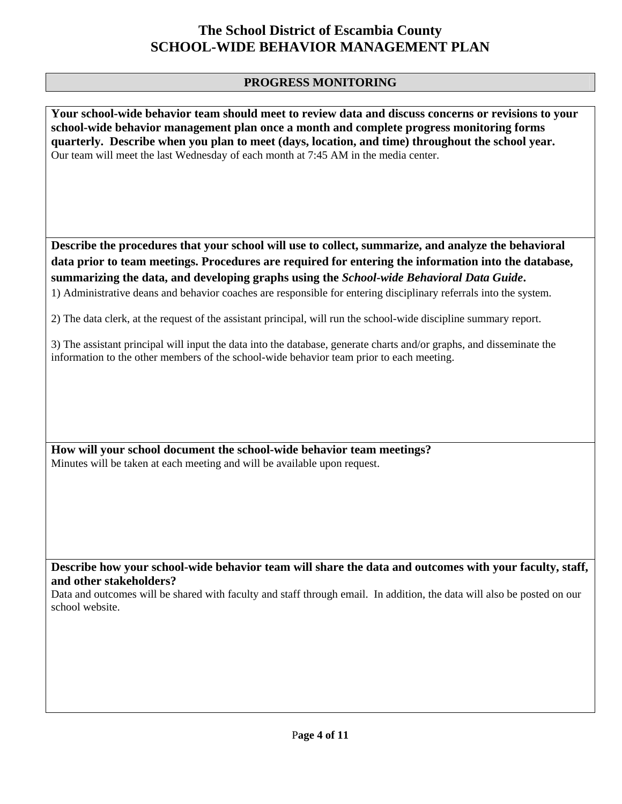### **PROGRESS MONITORING**

**Your school-wide behavior team should meet to review data and discuss concerns or revisions to your school-wide behavior management plan once a month and complete progress monitoring forms quarterly. Describe when you plan to meet (days, location, and time) throughout the school year.**  Our team will meet the last Wednesday of each month at 7:45 AM in the media center.

**Describe the procedures that your school will use to collect, summarize, and analyze the behavioral data prior to team meetings. Procedures are required for entering the information into the database, summarizing the data, and developing graphs using the** *School-wide Behavioral Data Guide***.** 

1) Administrative deans and behavior coaches are responsible for entering disciplinary referrals into the system.

2) The data clerk, at the request of the assistant principal, will run the school-wide discipline summary report.

3) The assistant principal will input the data into the database, generate charts and/or graphs, and disseminate the information to the other members of the school-wide behavior team prior to each meeting.

**How will your school document the school-wide behavior team meetings?** Minutes will be taken at each meeting and will be available upon request.

**Describe how your school-wide behavior team will share the data and outcomes with your faculty, staff, and other stakeholders?** 

Data and outcomes will be shared with faculty and staff through email. In addition, the data will also be posted on our school website.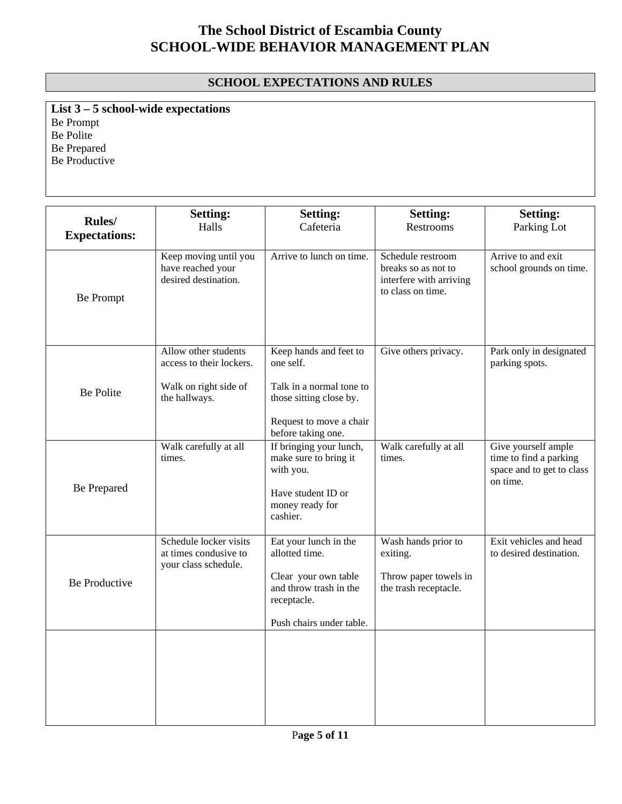## **SCHOOL EXPECTATIONS AND RULES**

**List 3 – 5 school-wide expectations** Be Prompt Be Polite Be Prepared Be Productive

|                                        | <b>Setting:</b>                                                         | <b>Setting:</b>                                                                                                    | <b>Setting:</b>                                                                          | <b>Setting:</b>                                                                        |
|----------------------------------------|-------------------------------------------------------------------------|--------------------------------------------------------------------------------------------------------------------|------------------------------------------------------------------------------------------|----------------------------------------------------------------------------------------|
| <b>Rules</b> /<br><b>Expectations:</b> | Halls                                                                   | Cafeteria                                                                                                          | Restrooms                                                                                | Parking Lot                                                                            |
| Be Prompt                              | Keep moving until you<br>have reached your<br>desired destination.      | Arrive to lunch on time.                                                                                           | Schedule restroom<br>breaks so as not to<br>interfere with arriving<br>to class on time. | Arrive to and exit<br>school grounds on time.                                          |
|                                        | Allow other students<br>access to their lockers.                        | Keep hands and feet to<br>one self.                                                                                | Give others privacy.                                                                     | Park only in designated<br>parking spots.                                              |
| <b>Be Polite</b>                       | Walk on right side of<br>the hallways.                                  | Talk in a normal tone to<br>those sitting close by.                                                                |                                                                                          |                                                                                        |
|                                        |                                                                         | Request to move a chair<br>before taking one.                                                                      |                                                                                          |                                                                                        |
| Be Prepared                            | Walk carefully at all<br>times.                                         | If bringing your lunch,<br>make sure to bring it<br>with you.<br>Have student ID or<br>money ready for<br>cashier. | Walk carefully at all<br>times.                                                          | Give yourself ample<br>time to find a parking<br>space and to get to class<br>on time. |
|                                        | Schedule locker visits<br>at times condusive to<br>your class schedule. | Eat your lunch in the<br>allotted time.                                                                            | Wash hands prior to<br>exiting.                                                          | Exit vehicles and head<br>to desired destination.                                      |
| <b>Be Productive</b>                   |                                                                         | Clear your own table<br>and throw trash in the<br>receptacle.                                                      | Throw paper towels in<br>the trash receptacle.                                           |                                                                                        |
|                                        |                                                                         | Push chairs under table.                                                                                           |                                                                                          |                                                                                        |
|                                        |                                                                         |                                                                                                                    |                                                                                          |                                                                                        |
|                                        |                                                                         |                                                                                                                    |                                                                                          |                                                                                        |
|                                        |                                                                         |                                                                                                                    |                                                                                          |                                                                                        |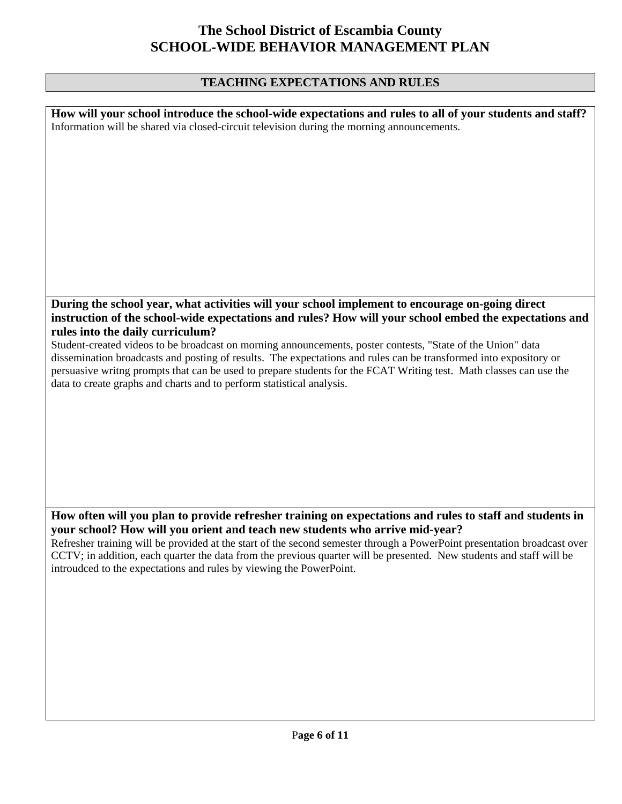## **TEACHING EXPECTATIONS AND RULES**

| How will your school introduce the school-wide expectations and rules to all of your students and staff?<br>Information will be shared via closed-circuit television during the morning announcements. |
|--------------------------------------------------------------------------------------------------------------------------------------------------------------------------------------------------------|
|                                                                                                                                                                                                        |
|                                                                                                                                                                                                        |
|                                                                                                                                                                                                        |
|                                                                                                                                                                                                        |
|                                                                                                                                                                                                        |
|                                                                                                                                                                                                        |
|                                                                                                                                                                                                        |
|                                                                                                                                                                                                        |
|                                                                                                                                                                                                        |
|                                                                                                                                                                                                        |
|                                                                                                                                                                                                        |
|                                                                                                                                                                                                        |
|                                                                                                                                                                                                        |
| During the school year, what activities will your school implement to encourage on-going direct                                                                                                        |
| instruction of the school-wide expectations and rules? How will your school embed the expectations and                                                                                                 |
| rules into the daily curriculum?                                                                                                                                                                       |
| Student-created videos to be broadcast on morning announcements, poster contests, "State of the Union" data                                                                                            |
| dissemination broadcasts and posting of results. The expectations and rules can be transformed into expository or                                                                                      |
| persuasive writng prompts that can be used to prepare students for the FCAT Writing test. Math classes can use the                                                                                     |
| data to create graphs and charts and to perform statistical analysis.                                                                                                                                  |
|                                                                                                                                                                                                        |
|                                                                                                                                                                                                        |
|                                                                                                                                                                                                        |
|                                                                                                                                                                                                        |
|                                                                                                                                                                                                        |
|                                                                                                                                                                                                        |
|                                                                                                                                                                                                        |
|                                                                                                                                                                                                        |
|                                                                                                                                                                                                        |
| How often will you plan to provide refresher training on expectations and rules to staff and students in                                                                                               |
| your school? How will you orient and teach new students who arrive mid-year?                                                                                                                           |
| Refresher training will be provided at the start of the second semester through a PowerPoint presentation broadcast over                                                                               |
| CCTV; in addition, each quarter the data from the previous quarter will be presented. New students and staff will be<br>introudced to the expectations and rules by viewing the PowerPoint.            |
|                                                                                                                                                                                                        |
|                                                                                                                                                                                                        |
|                                                                                                                                                                                                        |
|                                                                                                                                                                                                        |
|                                                                                                                                                                                                        |
|                                                                                                                                                                                                        |
|                                                                                                                                                                                                        |
|                                                                                                                                                                                                        |
|                                                                                                                                                                                                        |
|                                                                                                                                                                                                        |
|                                                                                                                                                                                                        |

 $\mathsf{I}$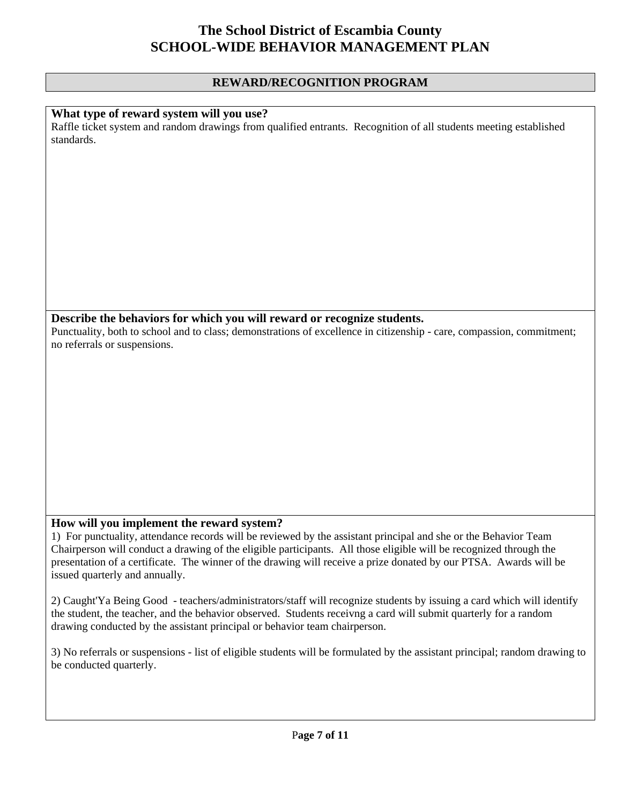### **REWARD/RECOGNITION PROGRAM**

#### **What type of reward system will you use?**

Raffle ticket system and random drawings from qualified entrants. Recognition of all students meeting established standards.

#### **Describe the behaviors for which you will reward or recognize students.**

Punctuality, both to school and to class; demonstrations of excellence in citizenship - care, compassion, commitment; no referrals or suspensions.

#### **How will you implement the reward system?**

1) For punctuality, attendance records will be reviewed by the assistant principal and she or the Behavior Team Chairperson will conduct a drawing of the eligible participants. All those eligible will be recognized through the presentation of a certificate. The winner of the drawing will receive a prize donated by our PTSA. Awards will be issued quarterly and annually.

2) Caught'Ya Being Good - teachers/administrators/staff will recognize students by issuing a card which will identify the student, the teacher, and the behavior observed. Students receivng a card will submit quarterly for a random drawing conducted by the assistant principal or behavior team chairperson.

3) No referrals or suspensions - list of eligible students will be formulated by the assistant principal; random drawing to be conducted quarterly.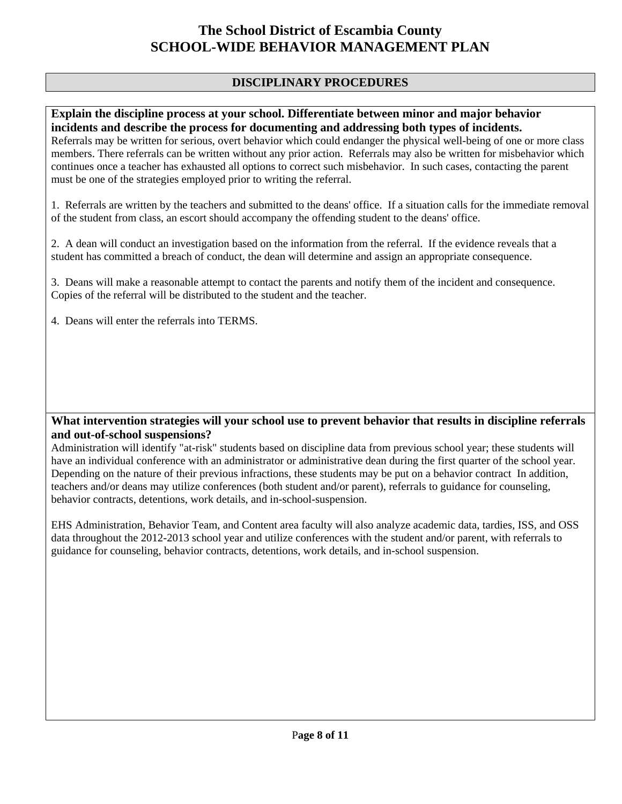## **DISCIPLINARY PROCEDURES**

### **Explain the discipline process at your school. Differentiate between minor and major behavior incidents and describe the process for documenting and addressing both types of incidents.**

Referrals may be written for serious, overt behavior which could endanger the physical well-being of one or more class members. There referrals can be written without any prior action. Referrals may also be written for misbehavior which continues once a teacher has exhausted all options to correct such misbehavior. In such cases, contacting the parent must be one of the strategies employed prior to writing the referral.

1. Referrals are written by the teachers and submitted to the deans' office. If a situation calls for the immediate removal of the student from class, an escort should accompany the offending student to the deans' office.

2. A dean will conduct an investigation based on the information from the referral. If the evidence reveals that a student has committed a breach of conduct, the dean will determine and assign an appropriate consequence.

3. Deans will make a reasonable attempt to contact the parents and notify them of the incident and consequence. Copies of the referral will be distributed to the student and the teacher.

4. Deans will enter the referrals into TERMS.

### **What intervention strategies will your school use to prevent behavior that results in discipline referrals and out-of-school suspensions?**

Administration will identify "at-risk" students based on discipline data from previous school year; these students will have an individual conference with an administrator or administrative dean during the first quarter of the school year. Depending on the nature of their previous infractions, these students may be put on a behavior contract In addition, teachers and/or deans may utilize conferences (both student and/or parent), referrals to guidance for counseling, behavior contracts, detentions, work details, and in-school-suspension.

EHS Administration, Behavior Team, and Content area faculty will also analyze academic data, tardies, ISS, and OSS data throughout the 2012-2013 school year and utilize conferences with the student and/or parent, with referrals to guidance for counseling, behavior contracts, detentions, work details, and in-school suspension.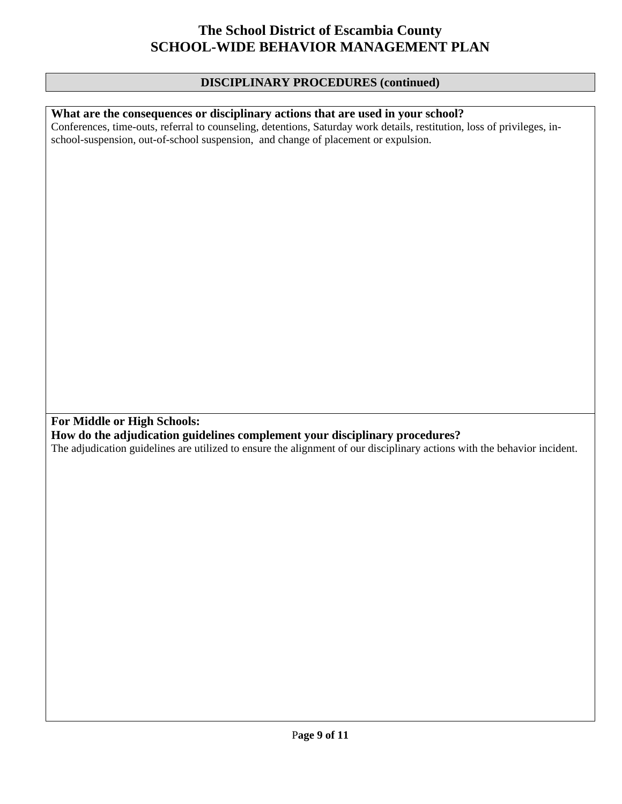### **DISCIPLINARY PROCEDURES (continued)**

### **What are the consequences or disciplinary actions that are used in your school?**

Conferences, time-outs, referral to counseling, detentions, Saturday work details, restitution, loss of privileges, inschool-suspension, out-of-school suspension, and change of placement or expulsion.

**For Middle or High Schools:** 

**How do the adjudication guidelines complement your disciplinary procedures?** 

The adjudication guidelines are utilized to ensure the alignment of our disciplinary actions with the behavior incident.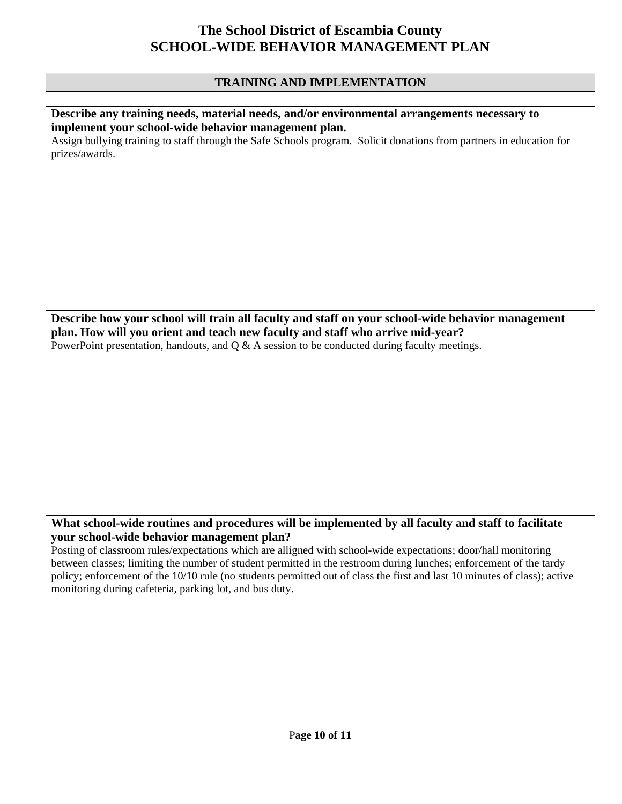## **TRAINING AND IMPLEMENTATION**

| Describe any training needs, material needs, and/or environmental arrangements necessary to<br>implement your school-wide behavior management plan.                                                                                  |
|--------------------------------------------------------------------------------------------------------------------------------------------------------------------------------------------------------------------------------------|
| Assign bullying training to staff through the Safe Schools program. Solicit donations from partners in education for<br>prizes/awards.                                                                                               |
|                                                                                                                                                                                                                                      |
|                                                                                                                                                                                                                                      |
|                                                                                                                                                                                                                                      |
|                                                                                                                                                                                                                                      |
|                                                                                                                                                                                                                                      |
|                                                                                                                                                                                                                                      |
| Describe how your school will train all faculty and staff on your school-wide behavior management                                                                                                                                    |
| plan. How will you orient and teach new faculty and staff who arrive mid-year?<br>PowerPoint presentation, handouts, and $Q \& A$ session to be conducted during faculty meetings.                                                   |
|                                                                                                                                                                                                                                      |
|                                                                                                                                                                                                                                      |
|                                                                                                                                                                                                                                      |
|                                                                                                                                                                                                                                      |
|                                                                                                                                                                                                                                      |
|                                                                                                                                                                                                                                      |
|                                                                                                                                                                                                                                      |
| What school-wide routines and procedures will be implemented by all faculty and staff to facilitate<br>your school-wide behavior management plan?                                                                                    |
| Posting of classroom rules/expectations which are alligned with school-wide expectations; door/hall monitoring<br>between classes; limiting the number of student permitted in the restroom during lunches; enforcement of the tardy |
| policy; enforcement of the 10/10 rule (no students permitted out of class the first and last 10 minutes of class); active<br>monitoring during cafeteria, parking lot, and bus duty.                                                 |
|                                                                                                                                                                                                                                      |
|                                                                                                                                                                                                                                      |
|                                                                                                                                                                                                                                      |